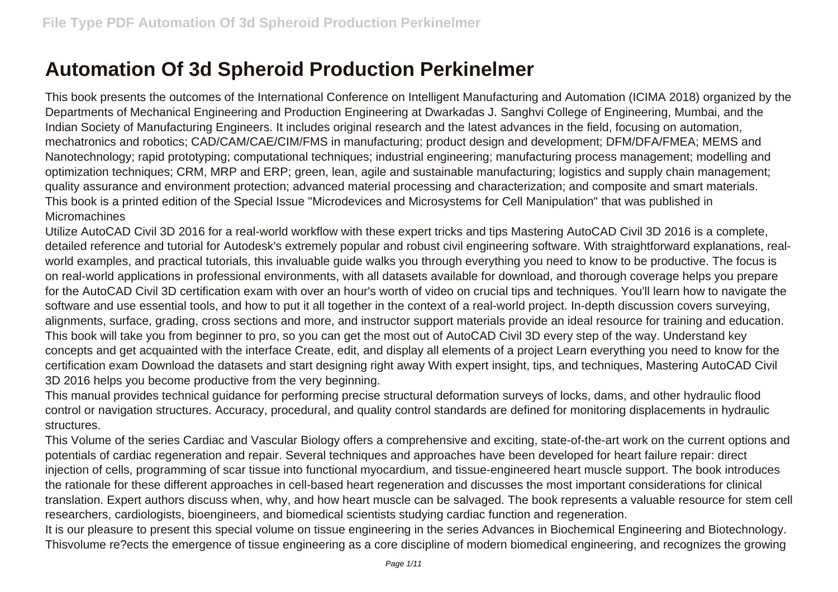## **Automation Of 3d Spheroid Production Perkinelmer**

This book presents the outcomes of the International Conference on Intelligent Manufacturing and Automation (ICIMA 2018) organized by the Departments of Mechanical Engineering and Production Engineering at Dwarkadas J. Sanghvi College of Engineering, Mumbai, and the Indian Society of Manufacturing Engineers. It includes original research and the latest advances in the field, focusing on automation, mechatronics and robotics; CAD/CAM/CAE/CIM/FMS in manufacturing; product design and development; DFM/DFA/FMEA; MEMS and Nanotechnology; rapid prototyping; computational techniques; industrial engineering; manufacturing process management; modelling and optimization techniques; CRM, MRP and ERP; green, lean, agile and sustainable manufacturing; logistics and supply chain management; quality assurance and environment protection; advanced material processing and characterization; and composite and smart materials. This book is a printed edition of the Special Issue "Microdevices and Microsystems for Cell Manipulation" that was published in Micromachines

Utilize AutoCAD Civil 3D 2016 for a real-world workflow with these expert tricks and tips Mastering AutoCAD Civil 3D 2016 is a complete, detailed reference and tutorial for Autodesk's extremely popular and robust civil engineering software. With straightforward explanations, realworld examples, and practical tutorials, this invaluable guide walks you through everything you need to know to be productive. The focus is on real-world applications in professional environments, with all datasets available for download, and thorough coverage helps you prepare for the AutoCAD Civil 3D certification exam with over an hour's worth of video on crucial tips and techniques. You'll learn how to navigate the software and use essential tools, and how to put it all together in the context of a real-world project. In-depth discussion covers surveying, alignments, surface, grading, cross sections and more, and instructor support materials provide an ideal resource for training and education. This book will take you from beginner to pro, so you can get the most out of AutoCAD Civil 3D every step of the way. Understand key concepts and get acquainted with the interface Create, edit, and display all elements of a project Learn everything you need to know for the certification exam Download the datasets and start designing right away With expert insight, tips, and techniques, Mastering AutoCAD Civil 3D 2016 helps you become productive from the very beginning.

This manual provides technical guidance for performing precise structural deformation surveys of locks, dams, and other hydraulic flood control or navigation structures. Accuracy, procedural, and quality control standards are defined for monitoring displacements in hydraulic structures.

This Volume of the series Cardiac and Vascular Biology offers a comprehensive and exciting, state-of-the-art work on the current options and potentials of cardiac regeneration and repair. Several techniques and approaches have been developed for heart failure repair: direct injection of cells, programming of scar tissue into functional myocardium, and tissue-engineered heart muscle support. The book introduces the rationale for these different approaches in cell-based heart regeneration and discusses the most important considerations for clinical translation. Expert authors discuss when, why, and how heart muscle can be salvaged. The book represents a valuable resource for stem cell researchers, cardiologists, bioengineers, and biomedical scientists studying cardiac function and regeneration.

It is our pleasure to present this special volume on tissue engineering in the series Advances in Biochemical Engineering and Biotechnology. Thisvolume re?ects the emergence of tissue engineering as a core discipline of modern biomedical engineering, and recognizes the growing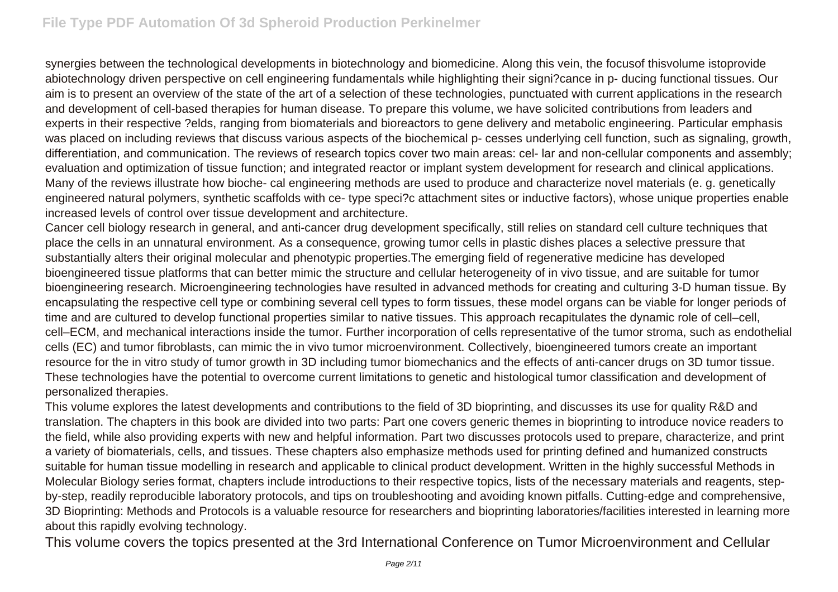synergies between the technological developments in biotechnology and biomedicine. Along this vein, the focusof thisvolume istoprovide abiotechnology driven perspective on cell engineering fundamentals while highlighting their signi?cance in p- ducing functional tissues. Our aim is to present an overview of the state of the art of a selection of these technologies, punctuated with current applications in the research and development of cell-based therapies for human disease. To prepare this volume, we have solicited contributions from leaders and experts in their respective ?elds, ranging from biomaterials and bioreactors to gene delivery and metabolic engineering. Particular emphasis was placed on including reviews that discuss various aspects of the biochemical p- cesses underlying cell function, such as signaling, growth, differentiation, and communication. The reviews of research topics cover two main areas: cel- lar and non-cellular components and assembly; evaluation and optimization of tissue function; and integrated reactor or implant system development for research and clinical applications. Many of the reviews illustrate how bioche- cal engineering methods are used to produce and characterize novel materials (e. g. genetically engineered natural polymers, synthetic scaffolds with ce- type speci?c attachment sites or inductive factors), whose unique properties enable increased levels of control over tissue development and architecture.

Cancer cell biology research in general, and anti-cancer drug development specifically, still relies on standard cell culture techniques that place the cells in an unnatural environment. As a consequence, growing tumor cells in plastic dishes places a selective pressure that substantially alters their original molecular and phenotypic properties.The emerging field of regenerative medicine has developed bioengineered tissue platforms that can better mimic the structure and cellular heterogeneity of in vivo tissue, and are suitable for tumor bioengineering research. Microengineering technologies have resulted in advanced methods for creating and culturing 3-D human tissue. By encapsulating the respective cell type or combining several cell types to form tissues, these model organs can be viable for longer periods of time and are cultured to develop functional properties similar to native tissues. This approach recapitulates the dynamic role of cell–cell, cell–ECM, and mechanical interactions inside the tumor. Further incorporation of cells representative of the tumor stroma, such as endothelial cells (EC) and tumor fibroblasts, can mimic the in vivo tumor microenvironment. Collectively, bioengineered tumors create an important resource for the in vitro study of tumor growth in 3D including tumor biomechanics and the effects of anti-cancer drugs on 3D tumor tissue. These technologies have the potential to overcome current limitations to genetic and histological tumor classification and development of personalized therapies.

This volume explores the latest developments and contributions to the field of 3D bioprinting, and discusses its use for quality R&D and translation. The chapters in this book are divided into two parts: Part one covers generic themes in bioprinting to introduce novice readers to the field, while also providing experts with new and helpful information. Part two discusses protocols used to prepare, characterize, and print a variety of biomaterials, cells, and tissues. These chapters also emphasize methods used for printing defined and humanized constructs suitable for human tissue modelling in research and applicable to clinical product development. Written in the highly successful Methods in Molecular Biology series format, chapters include introductions to their respective topics, lists of the necessary materials and reagents, stepby-step, readily reproducible laboratory protocols, and tips on troubleshooting and avoiding known pitfalls. Cutting-edge and comprehensive, 3D Bioprinting: Methods and Protocols is a valuable resource for researchers and bioprinting laboratories/facilities interested in learning more about this rapidly evolving technology.

This volume covers the topics presented at the 3rd International Conference on Tumor Microenvironment and Cellular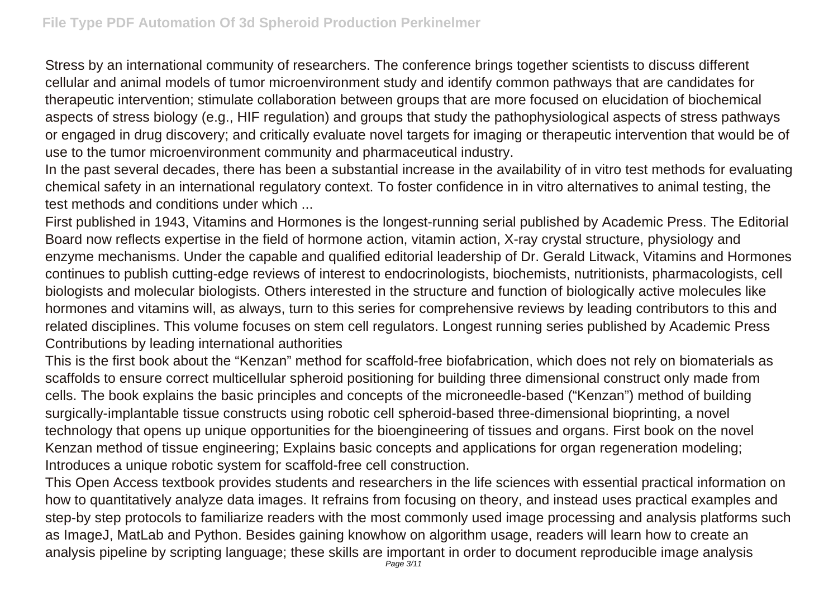Stress by an international community of researchers. The conference brings together scientists to discuss different cellular and animal models of tumor microenvironment study and identify common pathways that are candidates for therapeutic intervention; stimulate collaboration between groups that are more focused on elucidation of biochemical aspects of stress biology (e.g., HIF regulation) and groups that study the pathophysiological aspects of stress pathways or engaged in drug discovery; and critically evaluate novel targets for imaging or therapeutic intervention that would be of use to the tumor microenvironment community and pharmaceutical industry.

In the past several decades, there has been a substantial increase in the availability of in vitro test methods for evaluating chemical safety in an international regulatory context. To foster confidence in in vitro alternatives to animal testing, the test methods and conditions under which ...

First published in 1943, Vitamins and Hormones is the longest-running serial published by Academic Press. The Editorial Board now reflects expertise in the field of hormone action, vitamin action, X-ray crystal structure, physiology and enzyme mechanisms. Under the capable and qualified editorial leadership of Dr. Gerald Litwack, Vitamins and Hormones continues to publish cutting-edge reviews of interest to endocrinologists, biochemists, nutritionists, pharmacologists, cell biologists and molecular biologists. Others interested in the structure and function of biologically active molecules like hormones and vitamins will, as always, turn to this series for comprehensive reviews by leading contributors to this and related disciplines. This volume focuses on stem cell regulators. Longest running series published by Academic Press Contributions by leading international authorities

This is the first book about the "Kenzan" method for scaffold-free biofabrication, which does not rely on biomaterials as scaffolds to ensure correct multicellular spheroid positioning for building three dimensional construct only made from cells. The book explains the basic principles and concepts of the microneedle-based ("Kenzan") method of building surgically-implantable tissue constructs using robotic cell spheroid-based three-dimensional bioprinting, a novel technology that opens up unique opportunities for the bioengineering of tissues and organs. First book on the novel Kenzan method of tissue engineering; Explains basic concepts and applications for organ regeneration modeling; Introduces a unique robotic system for scaffold-free cell construction.

This Open Access textbook provides students and researchers in the life sciences with essential practical information on how to quantitatively analyze data images. It refrains from focusing on theory, and instead uses practical examples and step-by step protocols to familiarize readers with the most commonly used image processing and analysis platforms such as ImageJ, MatLab and Python. Besides gaining knowhow on algorithm usage, readers will learn how to create an analysis pipeline by scripting language; these skills are important in order to document reproducible image analysis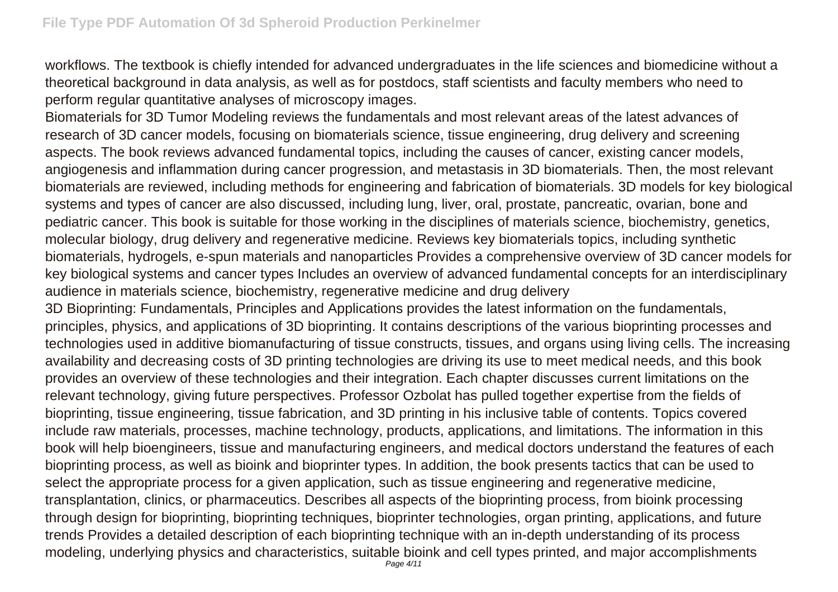workflows. The textbook is chiefly intended for advanced undergraduates in the life sciences and biomedicine without a theoretical background in data analysis, as well as for postdocs, staff scientists and faculty members who need to perform regular quantitative analyses of microscopy images.

Biomaterials for 3D Tumor Modeling reviews the fundamentals and most relevant areas of the latest advances of research of 3D cancer models, focusing on biomaterials science, tissue engineering, drug delivery and screening aspects. The book reviews advanced fundamental topics, including the causes of cancer, existing cancer models, angiogenesis and inflammation during cancer progression, and metastasis in 3D biomaterials. Then, the most relevant biomaterials are reviewed, including methods for engineering and fabrication of biomaterials. 3D models for key biological systems and types of cancer are also discussed, including lung, liver, oral, prostate, pancreatic, ovarian, bone and pediatric cancer. This book is suitable for those working in the disciplines of materials science, biochemistry, genetics, molecular biology, drug delivery and regenerative medicine. Reviews key biomaterials topics, including synthetic biomaterials, hydrogels, e-spun materials and nanoparticles Provides a comprehensive overview of 3D cancer models for key biological systems and cancer types Includes an overview of advanced fundamental concepts for an interdisciplinary audience in materials science, biochemistry, regenerative medicine and drug delivery

3D Bioprinting: Fundamentals, Principles and Applications provides the latest information on the fundamentals, principles, physics, and applications of 3D bioprinting. It contains descriptions of the various bioprinting processes and technologies used in additive biomanufacturing of tissue constructs, tissues, and organs using living cells. The increasing availability and decreasing costs of 3D printing technologies are driving its use to meet medical needs, and this book provides an overview of these technologies and their integration. Each chapter discusses current limitations on the relevant technology, giving future perspectives. Professor Ozbolat has pulled together expertise from the fields of bioprinting, tissue engineering, tissue fabrication, and 3D printing in his inclusive table of contents. Topics covered include raw materials, processes, machine technology, products, applications, and limitations. The information in this book will help bioengineers, tissue and manufacturing engineers, and medical doctors understand the features of each bioprinting process, as well as bioink and bioprinter types. In addition, the book presents tactics that can be used to select the appropriate process for a given application, such as tissue engineering and regenerative medicine, transplantation, clinics, or pharmaceutics. Describes all aspects of the bioprinting process, from bioink processing through design for bioprinting, bioprinting techniques, bioprinter technologies, organ printing, applications, and future trends Provides a detailed description of each bioprinting technique with an in-depth understanding of its process modeling, underlying physics and characteristics, suitable bioink and cell types printed, and major accomplishments Page 4/11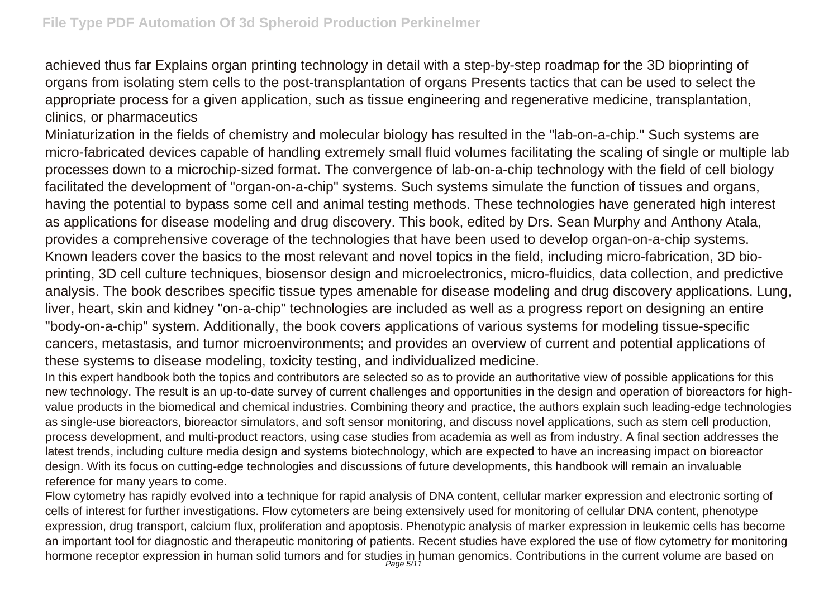achieved thus far Explains organ printing technology in detail with a step-by-step roadmap for the 3D bioprinting of organs from isolating stem cells to the post-transplantation of organs Presents tactics that can be used to select the appropriate process for a given application, such as tissue engineering and regenerative medicine, transplantation, clinics, or pharmaceutics

Miniaturization in the fields of chemistry and molecular biology has resulted in the "lab-on-a-chip." Such systems are micro-fabricated devices capable of handling extremely small fluid volumes facilitating the scaling of single or multiple lab processes down to a microchip-sized format. The convergence of lab-on-a-chip technology with the field of cell biology facilitated the development of "organ-on-a-chip" systems. Such systems simulate the function of tissues and organs, having the potential to bypass some cell and animal testing methods. These technologies have generated high interest as applications for disease modeling and drug discovery. This book, edited by Drs. Sean Murphy and Anthony Atala, provides a comprehensive coverage of the technologies that have been used to develop organ-on-a-chip systems. Known leaders cover the basics to the most relevant and novel topics in the field, including micro-fabrication, 3D bioprinting, 3D cell culture techniques, biosensor design and microelectronics, micro-fluidics, data collection, and predictive analysis. The book describes specific tissue types amenable for disease modeling and drug discovery applications. Lung, liver, heart, skin and kidney "on-a-chip" technologies are included as well as a progress report on designing an entire "body-on-a-chip" system. Additionally, the book covers applications of various systems for modeling tissue-specific cancers, metastasis, and tumor microenvironments; and provides an overview of current and potential applications of these systems to disease modeling, toxicity testing, and individualized medicine.

In this expert handbook both the topics and contributors are selected so as to provide an authoritative view of possible applications for this new technology. The result is an up-to-date survey of current challenges and opportunities in the design and operation of bioreactors for highvalue products in the biomedical and chemical industries. Combining theory and practice, the authors explain such leading-edge technologies as single-use bioreactors, bioreactor simulators, and soft sensor monitoring, and discuss novel applications, such as stem cell production, process development, and multi-product reactors, using case studies from academia as well as from industry. A final section addresses the latest trends, including culture media design and systems biotechnology, which are expected to have an increasing impact on bioreactor design. With its focus on cutting-edge technologies and discussions of future developments, this handbook will remain an invaluable reference for many years to come.

Flow cytometry has rapidly evolved into a technique for rapid analysis of DNA content, cellular marker expression and electronic sorting of cells of interest for further investigations. Flow cytometers are being extensively used for monitoring of cellular DNA content, phenotype expression, drug transport, calcium flux, proliferation and apoptosis. Phenotypic analysis of marker expression in leukemic cells has become an important tool for diagnostic and therapeutic monitoring of patients. Recent studies have explored the use of flow cytometry for monitoring hormone receptor expression in human solid tumors and for studies in human genomics. Contributions in the current volume are based on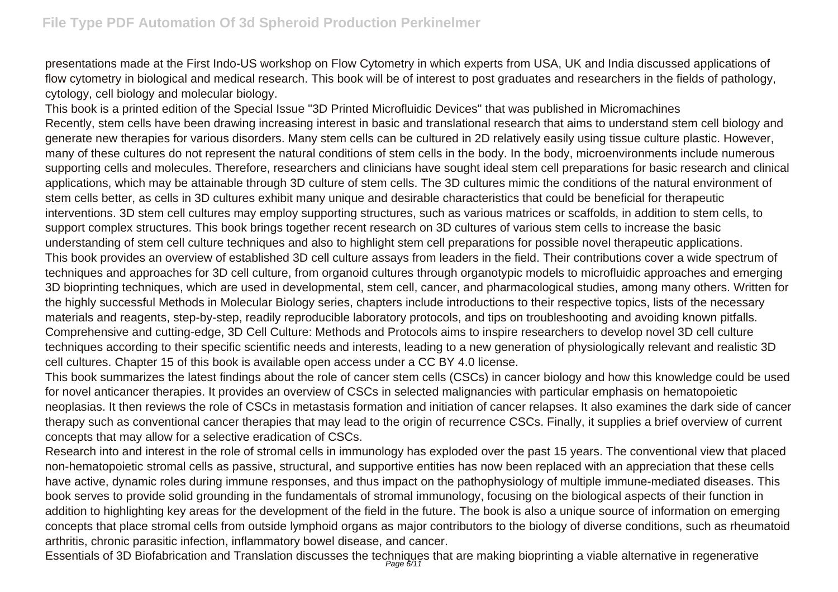presentations made at the First Indo-US workshop on Flow Cytometry in which experts from USA, UK and India discussed applications of flow cytometry in biological and medical research. This book will be of interest to post graduates and researchers in the fields of pathology, cytology, cell biology and molecular biology.

This book is a printed edition of the Special Issue "3D Printed Microfluidic Devices" that was published in Micromachines Recently, stem cells have been drawing increasing interest in basic and translational research that aims to understand stem cell biology and generate new therapies for various disorders. Many stem cells can be cultured in 2D relatively easily using tissue culture plastic. However, many of these cultures do not represent the natural conditions of stem cells in the body. In the body, microenvironments include numerous supporting cells and molecules. Therefore, researchers and clinicians have sought ideal stem cell preparations for basic research and clinical applications, which may be attainable through 3D culture of stem cells. The 3D cultures mimic the conditions of the natural environment of stem cells better, as cells in 3D cultures exhibit many unique and desirable characteristics that could be beneficial for therapeutic interventions. 3D stem cell cultures may employ supporting structures, such as various matrices or scaffolds, in addition to stem cells, to support complex structures. This book brings together recent research on 3D cultures of various stem cells to increase the basic understanding of stem cell culture techniques and also to highlight stem cell preparations for possible novel therapeutic applications. This book provides an overview of established 3D cell culture assays from leaders in the field. Their contributions cover a wide spectrum of techniques and approaches for 3D cell culture, from organoid cultures through organotypic models to microfluidic approaches and emerging 3D bioprinting techniques, which are used in developmental, stem cell, cancer, and pharmacological studies, among many others. Written for the highly successful Methods in Molecular Biology series, chapters include introductions to their respective topics, lists of the necessary materials and reagents, step-by-step, readily reproducible laboratory protocols, and tips on troubleshooting and avoiding known pitfalls. Comprehensive and cutting-edge, 3D Cell Culture: Methods and Protocols aims to inspire researchers to develop novel 3D cell culture techniques according to their specific scientific needs and interests, leading to a new generation of physiologically relevant and realistic 3D cell cultures. Chapter 15 of this book is available open access under a CC BY 4.0 license.

This book summarizes the latest findings about the role of cancer stem cells (CSCs) in cancer biology and how this knowledge could be used for novel anticancer therapies. It provides an overview of CSCs in selected malignancies with particular emphasis on hematopoietic neoplasias. It then reviews the role of CSCs in metastasis formation and initiation of cancer relapses. It also examines the dark side of cancer therapy such as conventional cancer therapies that may lead to the origin of recurrence CSCs. Finally, it supplies a brief overview of current concepts that may allow for a selective eradication of CSCs.

Research into and interest in the role of stromal cells in immunology has exploded over the past 15 years. The conventional view that placed non-hematopoietic stromal cells as passive, structural, and supportive entities has now been replaced with an appreciation that these cells have active, dynamic roles during immune responses, and thus impact on the pathophysiology of multiple immune-mediated diseases. This book serves to provide solid grounding in the fundamentals of stromal immunology, focusing on the biological aspects of their function in addition to highlighting key areas for the development of the field in the future. The book is also a unique source of information on emerging concepts that place stromal cells from outside lymphoid organs as major contributors to the biology of diverse conditions, such as rheumatoid arthritis, chronic parasitic infection, inflammatory bowel disease, and cancer.

Essentials of 3D Biofabrication and Translation discusses the techniques that are making bioprinting a viable alternative in regenerative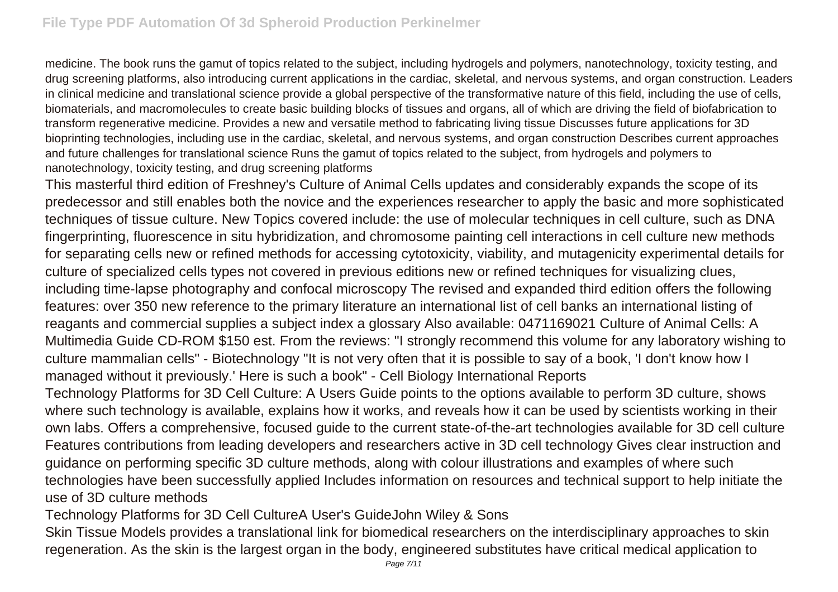medicine. The book runs the gamut of topics related to the subject, including hydrogels and polymers, nanotechnology, toxicity testing, and drug screening platforms, also introducing current applications in the cardiac, skeletal, and nervous systems, and organ construction. Leaders in clinical medicine and translational science provide a global perspective of the transformative nature of this field, including the use of cells, biomaterials, and macromolecules to create basic building blocks of tissues and organs, all of which are driving the field of biofabrication to transform regenerative medicine. Provides a new and versatile method to fabricating living tissue Discusses future applications for 3D bioprinting technologies, including use in the cardiac, skeletal, and nervous systems, and organ construction Describes current approaches and future challenges for translational science Runs the gamut of topics related to the subject, from hydrogels and polymers to nanotechnology, toxicity testing, and drug screening platforms

This masterful third edition of Freshney's Culture of Animal Cells updates and considerably expands the scope of its predecessor and still enables both the novice and the experiences researcher to apply the basic and more sophisticated techniques of tissue culture. New Topics covered include: the use of molecular techniques in cell culture, such as DNA fingerprinting, fluorescence in situ hybridization, and chromosome painting cell interactions in cell culture new methods for separating cells new or refined methods for accessing cytotoxicity, viability, and mutagenicity experimental details for culture of specialized cells types not covered in previous editions new or refined techniques for visualizing clues, including time-lapse photography and confocal microscopy The revised and expanded third edition offers the following features: over 350 new reference to the primary literature an international list of cell banks an international listing of reagants and commercial supplies a subject index a glossary Also available: 0471169021 Culture of Animal Cells: A Multimedia Guide CD-ROM \$150 est. From the reviews: "I strongly recommend this volume for any laboratory wishing to culture mammalian cells" - Biotechnology "It is not very often that it is possible to say of a book, 'I don't know how I managed without it previously.' Here is such a book" - Cell Biology International Reports

Technology Platforms for 3D Cell Culture: A Users Guide points to the options available to perform 3D culture, shows where such technology is available, explains how it works, and reveals how it can be used by scientists working in their own labs. Offers a comprehensive, focused guide to the current state-of-the-art technologies available for 3D cell culture Features contributions from leading developers and researchers active in 3D cell technology Gives clear instruction and guidance on performing specific 3D culture methods, along with colour illustrations and examples of where such technologies have been successfully applied Includes information on resources and technical support to help initiate the use of 3D culture methods

Technology Platforms for 3D Cell CultureA User's GuideJohn Wiley & Sons

Skin Tissue Models provides a translational link for biomedical researchers on the interdisciplinary approaches to skin regeneration. As the skin is the largest organ in the body, engineered substitutes have critical medical application to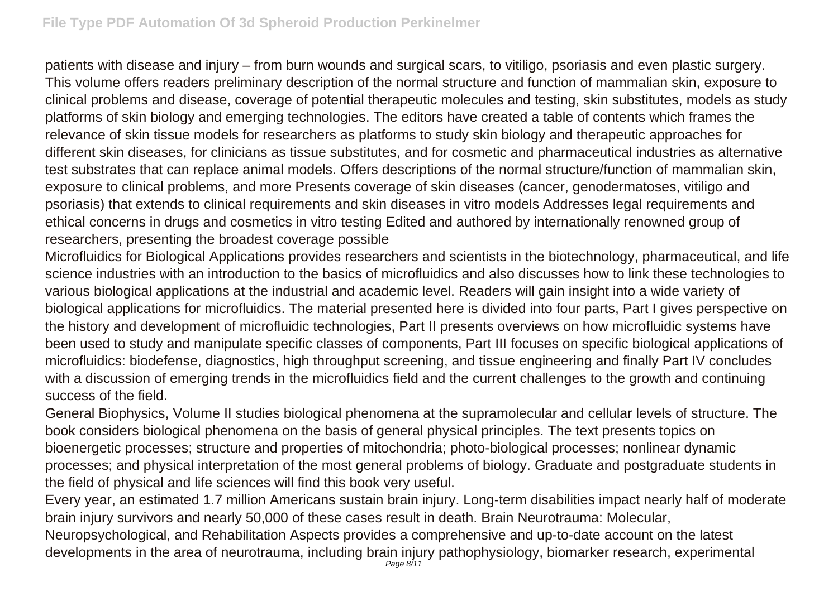patients with disease and injury – from burn wounds and surgical scars, to vitiligo, psoriasis and even plastic surgery. This volume offers readers preliminary description of the normal structure and function of mammalian skin, exposure to clinical problems and disease, coverage of potential therapeutic molecules and testing, skin substitutes, models as study platforms of skin biology and emerging technologies. The editors have created a table of contents which frames the relevance of skin tissue models for researchers as platforms to study skin biology and therapeutic approaches for different skin diseases, for clinicians as tissue substitutes, and for cosmetic and pharmaceutical industries as alternative test substrates that can replace animal models. Offers descriptions of the normal structure/function of mammalian skin, exposure to clinical problems, and more Presents coverage of skin diseases (cancer, genodermatoses, vitiligo and psoriasis) that extends to clinical requirements and skin diseases in vitro models Addresses legal requirements and ethical concerns in drugs and cosmetics in vitro testing Edited and authored by internationally renowned group of researchers, presenting the broadest coverage possible

Microfluidics for Biological Applications provides researchers and scientists in the biotechnology, pharmaceutical, and life science industries with an introduction to the basics of microfluidics and also discusses how to link these technologies to various biological applications at the industrial and academic level. Readers will gain insight into a wide variety of biological applications for microfluidics. The material presented here is divided into four parts, Part I gives perspective on the history and development of microfluidic technologies, Part II presents overviews on how microfluidic systems have been used to study and manipulate specific classes of components, Part III focuses on specific biological applications of microfluidics: biodefense, diagnostics, high throughput screening, and tissue engineering and finally Part IV concludes with a discussion of emerging trends in the microfluidics field and the current challenges to the growth and continuing success of the field.

General Biophysics, Volume II studies biological phenomena at the supramolecular and cellular levels of structure. The book considers biological phenomena on the basis of general physical principles. The text presents topics on bioenergetic processes; structure and properties of mitochondria; photo-biological processes; nonlinear dynamic processes; and physical interpretation of the most general problems of biology. Graduate and postgraduate students in the field of physical and life sciences will find this book very useful.

Every year, an estimated 1.7 million Americans sustain brain injury. Long-term disabilities impact nearly half of moderate brain injury survivors and nearly 50,000 of these cases result in death. Brain Neurotrauma: Molecular, Neuropsychological, and Rehabilitation Aspects provides a comprehensive and up-to-date account on the latest developments in the area of neurotrauma, including brain injury pathophysiology, biomarker research, experimental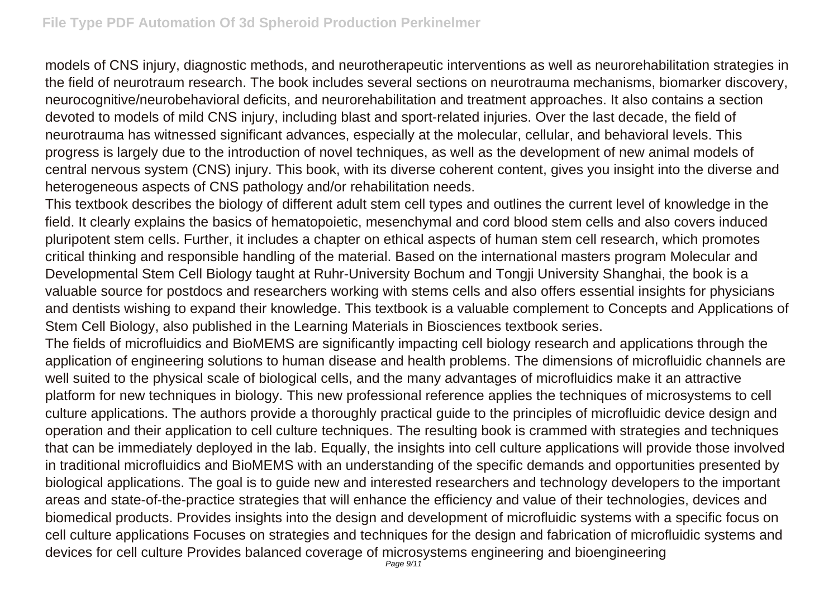models of CNS injury, diagnostic methods, and neurotherapeutic interventions as well as neurorehabilitation strategies in the field of neurotraum research. The book includes several sections on neurotrauma mechanisms, biomarker discovery, neurocognitive/neurobehavioral deficits, and neurorehabilitation and treatment approaches. It also contains a section devoted to models of mild CNS injury, including blast and sport-related injuries. Over the last decade, the field of neurotrauma has witnessed significant advances, especially at the molecular, cellular, and behavioral levels. This progress is largely due to the introduction of novel techniques, as well as the development of new animal models of central nervous system (CNS) injury. This book, with its diverse coherent content, gives you insight into the diverse and heterogeneous aspects of CNS pathology and/or rehabilitation needs.

This textbook describes the biology of different adult stem cell types and outlines the current level of knowledge in the field. It clearly explains the basics of hematopoietic, mesenchymal and cord blood stem cells and also covers induced pluripotent stem cells. Further, it includes a chapter on ethical aspects of human stem cell research, which promotes critical thinking and responsible handling of the material. Based on the international masters program Molecular and Developmental Stem Cell Biology taught at Ruhr-University Bochum and Tongji University Shanghai, the book is a valuable source for postdocs and researchers working with stems cells and also offers essential insights for physicians and dentists wishing to expand their knowledge. This textbook is a valuable complement to Concepts and Applications of Stem Cell Biology, also published in the Learning Materials in Biosciences textbook series.

The fields of microfluidics and BioMEMS are significantly impacting cell biology research and applications through the application of engineering solutions to human disease and health problems. The dimensions of microfluidic channels are well suited to the physical scale of biological cells, and the many advantages of microfluidics make it an attractive platform for new techniques in biology. This new professional reference applies the techniques of microsystems to cell culture applications. The authors provide a thoroughly practical guide to the principles of microfluidic device design and operation and their application to cell culture techniques. The resulting book is crammed with strategies and techniques that can be immediately deployed in the lab. Equally, the insights into cell culture applications will provide those involved in traditional microfluidics and BioMEMS with an understanding of the specific demands and opportunities presented by biological applications. The goal is to guide new and interested researchers and technology developers to the important areas and state-of-the-practice strategies that will enhance the efficiency and value of their technologies, devices and biomedical products. Provides insights into the design and development of microfluidic systems with a specific focus on cell culture applications Focuses on strategies and techniques for the design and fabrication of microfluidic systems and devices for cell culture Provides balanced coverage of microsystems engineering and bioengineering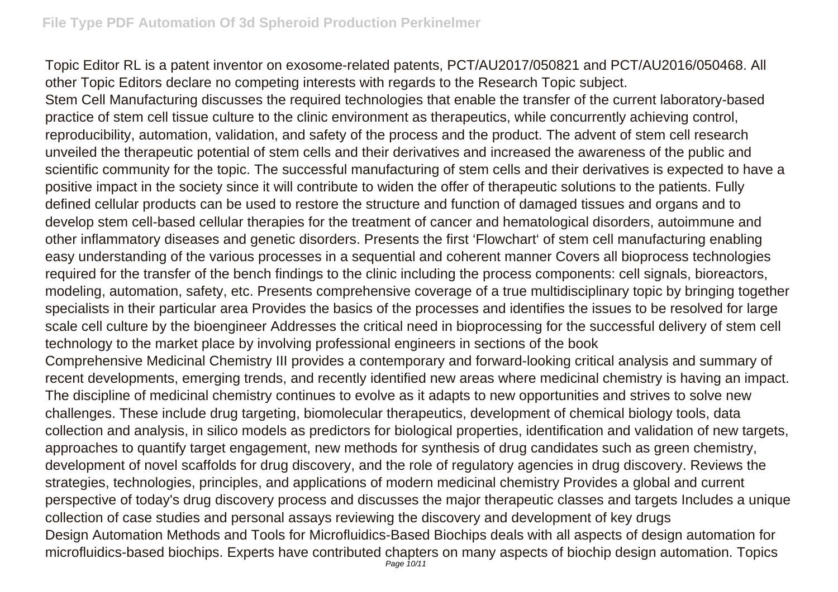Topic Editor RL is a patent inventor on exosome-related patents, PCT/AU2017/050821 and PCT/AU2016/050468. All other Topic Editors declare no competing interests with regards to the Research Topic subject.

Stem Cell Manufacturing discusses the required technologies that enable the transfer of the current laboratory-based practice of stem cell tissue culture to the clinic environment as therapeutics, while concurrently achieving control, reproducibility, automation, validation, and safety of the process and the product. The advent of stem cell research unveiled the therapeutic potential of stem cells and their derivatives and increased the awareness of the public and scientific community for the topic. The successful manufacturing of stem cells and their derivatives is expected to have a positive impact in the society since it will contribute to widen the offer of therapeutic solutions to the patients. Fully defined cellular products can be used to restore the structure and function of damaged tissues and organs and to develop stem cell-based cellular therapies for the treatment of cancer and hematological disorders, autoimmune and other inflammatory diseases and genetic disorders. Presents the first 'Flowchart' of stem cell manufacturing enabling easy understanding of the various processes in a sequential and coherent manner Covers all bioprocess technologies required for the transfer of the bench findings to the clinic including the process components: cell signals, bioreactors, modeling, automation, safety, etc. Presents comprehensive coverage of a true multidisciplinary topic by bringing together specialists in their particular area Provides the basics of the processes and identifies the issues to be resolved for large scale cell culture by the bioengineer Addresses the critical need in bioprocessing for the successful delivery of stem cell technology to the market place by involving professional engineers in sections of the book

Comprehensive Medicinal Chemistry III provides a contemporary and forward-looking critical analysis and summary of recent developments, emerging trends, and recently identified new areas where medicinal chemistry is having an impact. The discipline of medicinal chemistry continues to evolve as it adapts to new opportunities and strives to solve new challenges. These include drug targeting, biomolecular therapeutics, development of chemical biology tools, data collection and analysis, in silico models as predictors for biological properties, identification and validation of new targets, approaches to quantify target engagement, new methods for synthesis of drug candidates such as green chemistry, development of novel scaffolds for drug discovery, and the role of regulatory agencies in drug discovery. Reviews the strategies, technologies, principles, and applications of modern medicinal chemistry Provides a global and current perspective of today's drug discovery process and discusses the major therapeutic classes and targets Includes a unique collection of case studies and personal assays reviewing the discovery and development of key drugs Design Automation Methods and Tools for Microfluidics-Based Biochips deals with all aspects of design automation for microfluidics-based biochips. Experts have contributed chapters on many aspects of biochip design automation. Topics